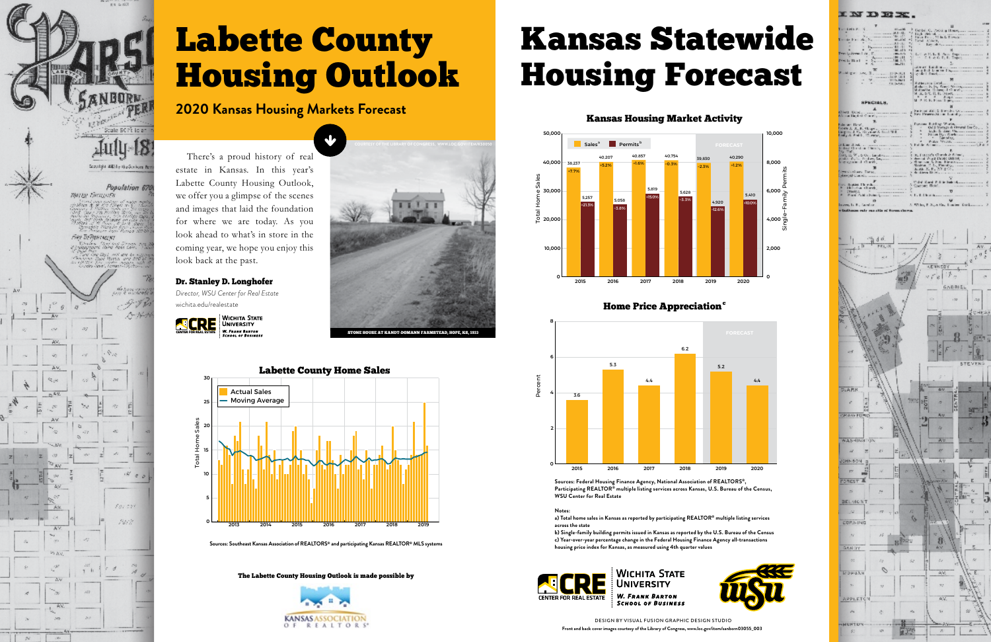



# Labette County Housing Outlook

There's a proud history of real estate in Kansas. In this year's Labette County Housing Outlook, we offer you a glimpse of the scenes and images that laid the foundation for where we are today. As you look ahead to what's in store in the coming year, we hope you enjoy this look back at the past.

# **2020 Kansas Housing Markets Forecast**

**Sources: Southeast Kansas Association of REALTORS® and participating Kansas REALTOR® MLS systems**

**0**

**5**

**10**

**15**

**20**

**25**

**30**

**2013 2014 2015 2016 2017 2018 2019**

Total Home Sales





### Dr. Stanley D. Longhofer

*Director, WSU Center for Real Estate* wichita.edu/realestate



The Labette County Housing Outlook is made possible by



# Kansas Statewide Housing Forecast



DESIGN BY VISUAL FUSION GRAPHIC DESIGN STUDIO **Front and back cover images courtesy of the Library of Congress, www.loc.gov/item/sanborn03055\_003**



| D E X                                                                                                                             |                                                                                        |
|-----------------------------------------------------------------------------------------------------------------------------------|----------------------------------------------------------------------------------------|
|                                                                                                                                   | <b>CHECK</b>                                                                           |
|                                                                                                                                   | $\mathbf{u}$                                                                           |
| - Change Communication St 1-32.                                                                                                   |                                                                                        |
|                                                                                                                                   |                                                                                        |
| The de Frank, No. 1. 1999. Wed M.                                                                                                 |                                                                                        |
| at the community of the con-                                                                                                      |                                                                                        |
| Process control \$1, (2)                                                                                                          | 1. Keep the Commission of the commis-                                                  |
| 4   186.119                                                                                                                       |                                                                                        |
| Two Luthered At . 2<br><b>Contractor</b>                                                                                          | S. C. & P. L. R. Parts, Department Common                                              |
| " American Holl                                                                                                                   |                                                                                        |
| $P = 1.11 + 1$                                                                                                                    |                                                                                        |
| $\sim$ $\sim$ $\sim$ $\sim$ $\sim$ $\sim$ $\sim$                                                                                  |                                                                                        |
|                                                                                                                                   | about the time communication of                                                        |
|                                                                                                                                   | ang full teater them communicate                                                       |
| SPA 3  199-301                                                                                                                    | Consider the Management of the Constitution of the Constitution of the Constitution of |
|                                                                                                                                   |                                                                                        |
| $\frac{1}{2} \left( \frac{1}{2} \right)^2 = \frac{1}{2} \left( \frac{1}{2} \right)^2 \left( \frac{1}{2} \right)^2$<br><b>ALC:</b> |                                                                                        |
|                                                                                                                                   | Mindante, N. D., Wang L. Warran, communication                                         |
|                                                                                                                                   |                                                                                        |
|                                                                                                                                   |                                                                                        |
|                                                                                                                                   |                                                                                        |
|                                                                                                                                   | M. P. R. K. Floor, Digitizerance accountance                                           |
| <b>RPECIALR.</b>                                                                                                                  |                                                                                        |
|                                                                                                                                   |                                                                                        |
|                                                                                                                                   |                                                                                        |
|                                                                                                                                   | Funds and Middle Districtly Company access to an                                       |
|                                                                                                                                   | New Peaces Strong Land Sciences and                                                    |
| Affirman Hand of Character continued to the Character of the Affirmation of                                                       |                                                                                        |
|                                                                                                                                   |                                                                                        |
|                                                                                                                                   |                                                                                        |
|                                                                                                                                   | Odd Storage & Orneral Dat Co                                                           |
| Lington, J. C., Kryman & Boot M.E.                                                                                                | Light, S. Line, One                                                                    |
| Emity & Pinkle, 10 percent continuous                                                                                             | North Hart Warkstreet committee                                                        |
|                                                                                                                                   |                                                                                        |
|                                                                                                                                   | Autor Weight, commission and                                                           |
| 18 King 18 Million - Leaven Leaven Leaven - 11                                                                                    |                                                                                        |
| Southed PS medium of herein, concentrations                                                                                       |                                                                                        |
| THE TWIL<br>the community of the community                                                                                        |                                                                                        |
|                                                                                                                                   | in Francisco Character & Beltonia, and any con-                                        |
| State A.T. Pollary Saymourney                                                                                                     | develop V and Datable Dishbook, J. J. J. J. J. J. J. J.                                |
| Survivale different, income of                                                                                                    | Charles & State Electrician concerned                                                  |
|                                                                                                                                   |                                                                                        |
|                                                                                                                                   | de diterra Helse, a componente en concertamento                                        |
| Livestod are Taragonico componente<br>Detected Contains access to construct the                                                   |                                                                                        |
|                                                                                                                                   |                                                                                        |
|                                                                                                                                   | Widow Ward, Public Natural commercial and                                              |
| First, deaths, Thursday, J. J. J. J. J. J. J.                                                                                     |                                                                                        |
| a (Britisha thank, Historytown,                                                                                                   |                                                                                        |
| [T68811 *                                                                                                                         | π<br>C. L. B. Chrattheory concerns accessively and                                     |

L. White R. N. A. Co., Louis East

Increase in R., Sand or

CRAYER  $W354$ JOHN BO  $\mathbf{r}$ **FOREST &** BEL-MO COP.NI GANDY **MORGA** APPLET



## Home Price Appreciation<sup>c</sup>

### Kansas Housing Market Activity



**Sources: Federal Housing Finance Agency, National Association of REALTORS®, Participating REALTOR® multiple listing services across Kansas, U.S. Bureau of the Census, WSU Center for Real Estate**

### **Notes:**

**a) Total home sales in Kansas as reported by participating REALTOR® multiple listing services across the state**

**b) Single-family building permits issued in Kansas as reported by the U.S. Bureau of the Census c) Year-over-year percentage change in the Federal Housing Finance Agency all-transactions housing price index for Kansas, as measured using 4th quarter values**